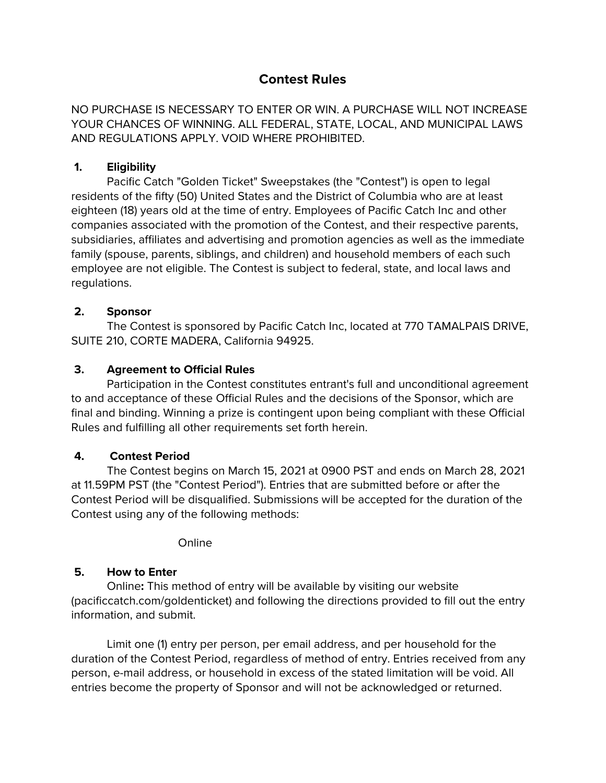# **Contest Rules**

NO PURCHASE IS NECESSARY TO ENTER OR WIN. A PURCHASE WILL NOT INCREASE YOUR CHANCES OF WINNING. ALL FEDERAL, STATE, LOCAL, AND MUNICIPAL LAWS AND REGULATIONS APPLY. VOID WHERE PROHIBITED.

#### **1. Eligibility**

Pacific Catch "Golden Ticket" Sweepstakes (the "Contest") is open to legal residents of the fifty (50) United States and the District of Columbia who are at least eighteen (18) years old at the time of entry. Employees of Pacific Catch Inc and other companies associated with the promotion of the Contest, and their respective parents, subsidiaries, affiliates and advertising and promotion agencies as well as the immediate family (spouse, parents, siblings, and children) and household members of each such employee are not eligible. The Contest is subject to federal, state, and local laws and regulations.

### **2. Sponsor**

The Contest is sponsored by Pacific Catch Inc, located at 770 TAMALPAIS DRIVE, SUITE 210, CORTE MADERA, California 94925.

## **3. Agreement to Official Rules**

Participation in the Contest constitutes entrant's full and unconditional agreement to and acceptance of these Official Rules and the decisions of the Sponsor, which are final and binding. Winning a prize is contingent upon being compliant with these Official Rules and fulfilling all other requirements set forth herein.

#### **4. Contest Period**

The Contest begins on March 15, 2021 at 0900 PST and ends on March 28, 2021 at 11.59PM PST (the "Contest Period"). Entries that are submitted before or after the Contest Period will be disqualified. Submissions will be accepted for the duration of the Contest using any of the following methods:

#### Online

#### **5. How to Enter**

Online**:** This method of entry will be available by visiting our website (pacificcatch.com/goldenticket) and following the directions provided to fill out the entry information, and submit.

Limit one (1) entry per person, per email address, and per household for the duration of the Contest Period, regardless of method of entry. Entries received from any person, e-mail address, or household in excess of the stated limitation will be void. All entries become the property of Sponsor and will not be acknowledged or returned.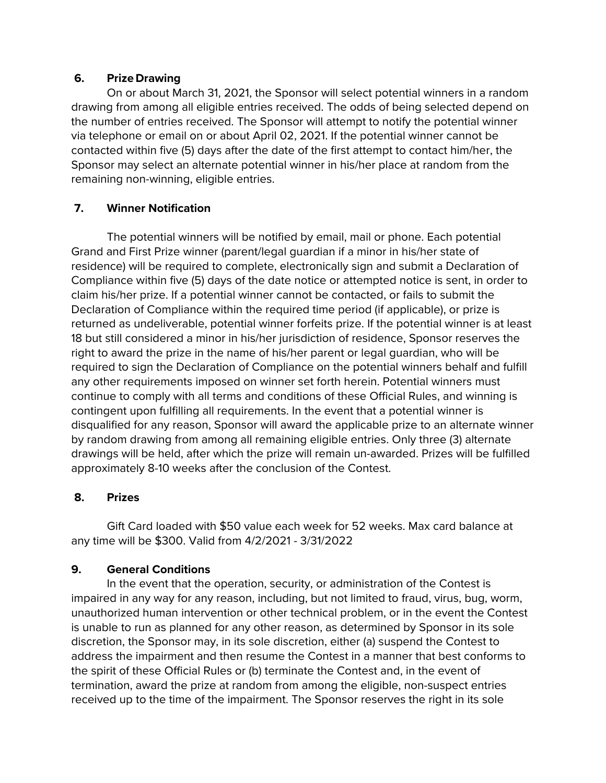### **6. Prize Drawing**

On or about March 31, 2021, the Sponsor will select potential winners in a random drawing from among all eligible entries received. The odds of being selected depend on the number of entries received. The Sponsor will attempt to notify the potential winner via telephone or email on or about April 02, 2021. If the potential winner cannot be contacted within five (5) days after the date of the first attempt to contact him/her, the Sponsor may select an alternate potential winner in his/her place at random from the remaining non-winning, eligible entries.

## **7. Winner Notification**

The potential winners will be notified by email, mail or phone. Each potential Grand and First Prize winner (parent/legal guardian if a minor in his/her state of residence) will be required to complete, electronically sign and submit a Declaration of Compliance within five (5) days of the date notice or attempted notice is sent, in order to claim his/her prize. If a potential winner cannot be contacted, or fails to submit the Declaration of Compliance within the required time period (if applicable), or prize is returned as undeliverable, potential winner forfeits prize. If the potential winner is at least 18 but still considered a minor in his/her jurisdiction of residence, Sponsor reserves the right to award the prize in the name of his/her parent or legal guardian, who will be required to sign the Declaration of Compliance on the potential winners behalf and fulfill any other requirements imposed on winner set forth herein. Potential winners must continue to comply with all terms and conditions of these Official Rules, and winning is contingent upon fulfilling all requirements. In the event that a potential winner is disqualified for any reason, Sponsor will award the applicable prize to an alternate winner by random drawing from among all remaining eligible entries. Only three (3) alternate drawings will be held, after which the prize will remain un-awarded. Prizes will be fulfilled approximately 8-10 weeks after the conclusion of the Contest.

## **8. Prizes**

Gift Card loaded with \$50 value each week for 52 weeks. Max card balance at any time will be \$300. Valid from 4/2/2021 - 3/31/2022

## **9. General Conditions**

In the event that the operation, security, or administration of the Contest is impaired in any way for any reason, including, but not limited to fraud, virus, bug, worm, unauthorized human intervention or other technical problem, or in the event the Contest is unable to run as planned for any other reason, as determined by Sponsor in its sole discretion, the Sponsor may, in its sole discretion, either (a) suspend the Contest to address the impairment and then resume the Contest in a manner that best conforms to the spirit of these Official Rules or (b) terminate the Contest and, in the event of termination, award the prize at random from among the eligible, non-suspect entries received up to the time of the impairment. The Sponsor reserves the right in its sole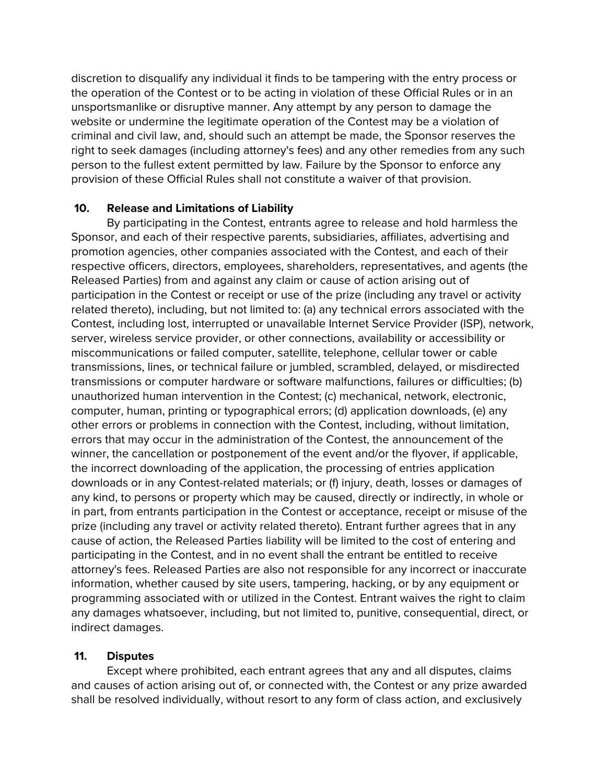discretion to disqualify any individual it finds to be tampering with the entry process or the operation of the Contest or to be acting in violation of these Official Rules or in an unsportsmanlike or disruptive manner. Any attempt by any person to damage the website or undermine the legitimate operation of the Contest may be a violation of criminal and civil law, and, should such an attempt be made, the Sponsor reserves the right to seek damages (including attorney's fees) and any other remedies from any such person to the fullest extent permitted by law. Failure by the Sponsor to enforce any provision of these Official Rules shall not constitute a waiver of that provision.

#### **10. Release and Limitations of Liability**

By participating in the Contest, entrants agree to release and hold harmless the Sponsor, and each of their respective parents, subsidiaries, affiliates, advertising and promotion agencies, other companies associated with the Contest, and each of their respective officers, directors, employees, shareholders, representatives, and agents (the Released Parties) from and against any claim or cause of action arising out of participation in the Contest or receipt or use of the prize (including any travel or activity related thereto), including, but not limited to: (a) any technical errors associated with the Contest, including lost, interrupted or unavailable Internet Service Provider (ISP), network, server, wireless service provider, or other connections, availability or accessibility or miscommunications or failed computer, satellite, telephone, cellular tower or cable transmissions, lines, or technical failure or jumbled, scrambled, delayed, or misdirected transmissions or computer hardware or software malfunctions, failures or difficulties; (b) unauthorized human intervention in the Contest; (c) mechanical, network, electronic, computer, human, printing or typographical errors; (d) application downloads, (e) any other errors or problems in connection with the Contest, including, without limitation, errors that may occur in the administration of the Contest, the announcement of the winner, the cancellation or postponement of the event and/or the flyover, if applicable, the incorrect downloading of the application, the processing of entries application downloads or in any Contest-related materials; or (f) injury, death, losses or damages of any kind, to persons or property which may be caused, directly or indirectly, in whole or in part, from entrants participation in the Contest or acceptance, receipt or misuse of the prize (including any travel or activity related thereto). Entrant further agrees that in any cause of action, the Released Parties liability will be limited to the cost of entering and participating in the Contest, and in no event shall the entrant be entitled to receive attorney's fees. Released Parties are also not responsible for any incorrect or inaccurate information, whether caused by site users, tampering, hacking, or by any equipment or programming associated with or utilized in the Contest. Entrant waives the right to claim any damages whatsoever, including, but not limited to, punitive, consequential, direct, or indirect damages.

#### **11. Disputes**

Except where prohibited, each entrant agrees that any and all disputes, claims and causes of action arising out of, or connected with, the Contest or any prize awarded shall be resolved individually, without resort to any form of class action, and exclusively